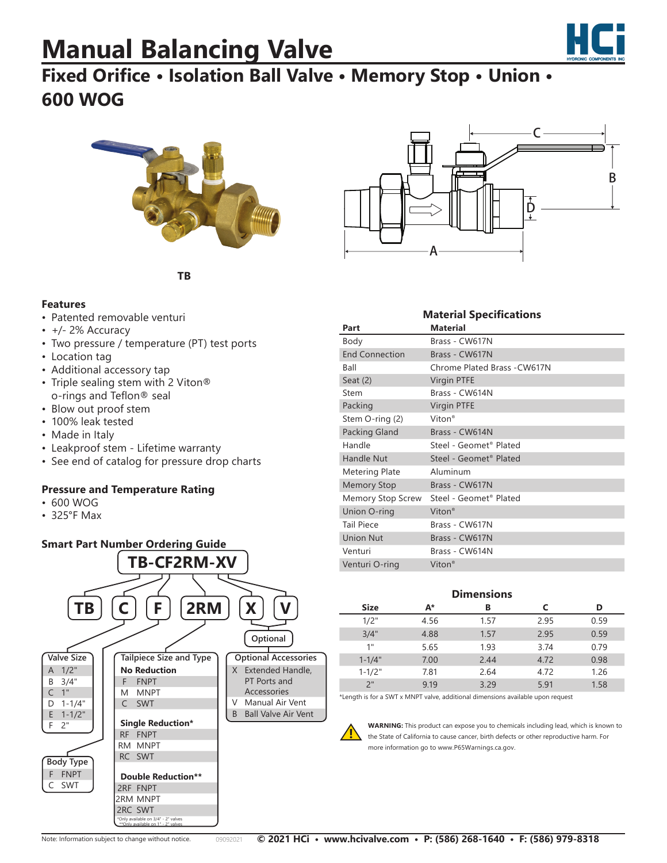# **Manual Balancing Valve**



### **Fixed Orifice • Isolation Ball Valve • Memory Stop • Union • 600 WOG**



C D A B

**Material Specifications**

**TB**

#### **Features**

- Patented removable venturi
- +/- 2% Accuracy
- Two pressure / temperature (PT) test ports
- Location tag
- Additional accessory tap
- Triple sealing stem with 2 Viton® o-rings and Teflon® seal
- Blow out proof stem
- 100% leak tested
- Made in Italy
- Leakproof stem Lifetime warranty
- See end of catalog for pressure drop charts

#### **Pressure and Temperature Rating**

- 600 WOG
- 325°F Max



| iviateriai specifications |                                    |  |  |  |  |
|---------------------------|------------------------------------|--|--|--|--|
| Part                      | <b>Material</b>                    |  |  |  |  |
| Body                      | Brass - CW617N                     |  |  |  |  |
| <b>End Connection</b>     | Brass - CW617N                     |  |  |  |  |
| Ball                      | Chrome Plated Brass - CW617N       |  |  |  |  |
| Seat $(2)$                | <b>Virgin PTFE</b>                 |  |  |  |  |
| Stem                      | Brass - CW614N                     |  |  |  |  |
| Packing                   | Virgin PTFE                        |  |  |  |  |
| Stem O-ring (2)           | Viton <sup>®</sup>                 |  |  |  |  |
| Packing Gland             | Brass - CW614N                     |  |  |  |  |
| Handle                    | Steel - Geomet <sup>®</sup> Plated |  |  |  |  |
| <b>Handle Nut</b>         | Steel - Geomet <sup>®</sup> Plated |  |  |  |  |
| <b>Metering Plate</b>     | Aluminum                           |  |  |  |  |
| <b>Memory Stop</b>        | Brass - CW617N                     |  |  |  |  |
| Memory Stop Screw         | Steel - Geomet <sup>®</sup> Plated |  |  |  |  |
| Union O-ring              | Viton <sup>®</sup>                 |  |  |  |  |
| <b>Tail Piece</b>         | Brass - CW617N                     |  |  |  |  |
| <b>Union Nut</b>          | Brass - CW617N                     |  |  |  |  |
| Venturi                   | Brass - CW614N                     |  |  |  |  |
| Venturi O-ring            | Viton <sup>®</sup>                 |  |  |  |  |

#### **Dimensions**

| <b>Size</b> | А*    | в    |      | D    |
|-------------|-------|------|------|------|
| 1/2"        | 4.56  | 1.57 | 2.95 | 0.59 |
| 3/4"        | 4.88  | 157  | 2.95 | 0.59 |
| 1"          | 5.65  | 1.93 | 3.74 | 0.79 |
| $1 - 1/4"$  | 7.00  | 2.44 | 4.72 | 0.98 |
| $1 - 1/2"$  | 7.81  | 2.64 | 4.72 | 1.26 |
| 2"          | 9 1 9 | 329  | 5.91 | 1.58 |

\*Length is for a SWT x MNPT valve, additional dimensions available upon request

**WARNING:** This product can expose you to chemicals including lead, which is known to the State of California to cause cancer, birth defects or other reproductive harm. For more information go to www.P65Warnings.ca.gov.

**!**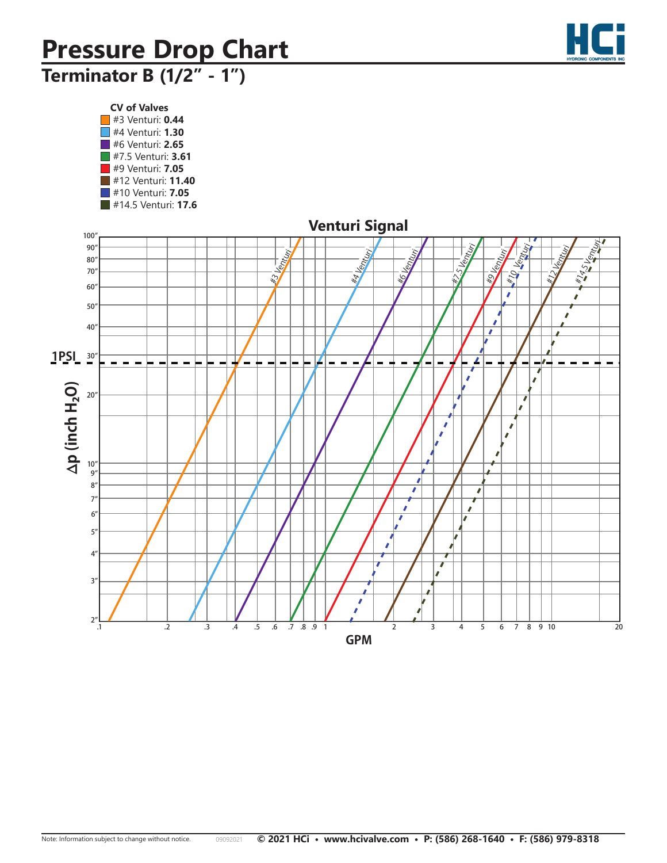

## **Terminator B (1/2" - 1") Terminator B (1/2"- 1")**